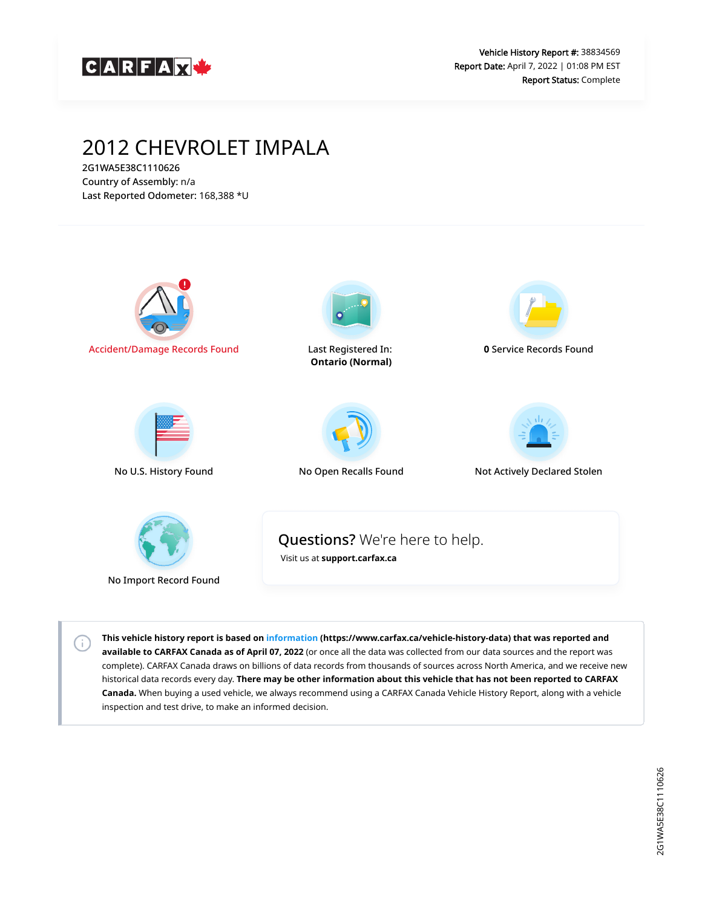

# 2012 CHEVROLET IMPALA

2G1WA5E38C1110626 Country of Assembly: n/a Last Reported Odometer: 168,388 \*U

 $\left( \left. \cdot \right) \right)$ 



**This vehicle history report is based on [information](https://www.carfax.ca/vehicle-history-data) (https://www.carfax.ca/vehicle-history-data) that was reported and available to CARFAX Canada as of April 07, 2022** (or once all the data was collected from our data sources and the report was complete). CARFAX Canada draws on billions of data records from thousands of sources across North America, and we receive new historical data records every day. **There may be other information about this vehicle that has not been reported to CARFAX Canada.** When buying a used vehicle, we always recommend using a CARFAX Canada Vehicle History Report, along with a vehicle inspection and test drive, to make an informed decision.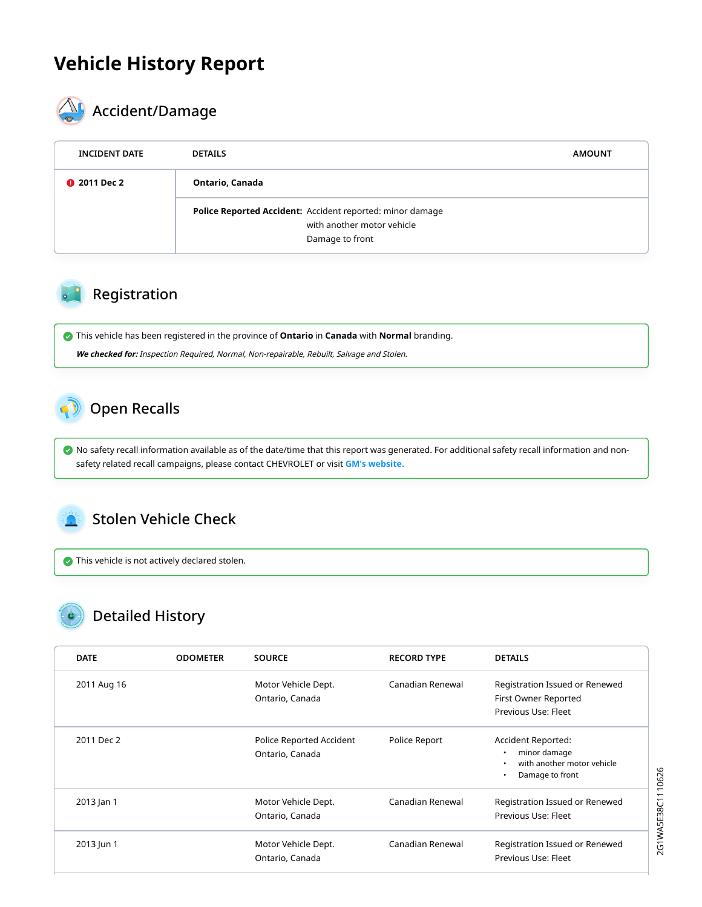## **Vehicle History Report**



# **AL** Accident/Damage

| <b>INCIDENT DATE</b> | <b>DETAILS</b>                                                                                             | <b>AMOUNT</b> |  |  |
|----------------------|------------------------------------------------------------------------------------------------------------|---------------|--|--|
| <b>@</b> 2011 Dec 2  | Ontario, Canada                                                                                            |               |  |  |
|                      | Police Reported Accident: Accident reported: minor damage<br>with another motor vehicle<br>Damage to front |               |  |  |

#### Registration

This vehicle has been registered in the province of **Ontario** in **Canada** with **Normal** branding.

**We checked for:** Inspection Required, Normal, Non-repairable, Rebuilt, Salvage and Stolen.

## <span id="page-1-0"></span>Open Recalls

 No safety recall information available as of the date/time that this report was generated. For additional safety recall information and nonsafety related recall campaigns, please contact CHEVROLET or visit **[GM's website.](https://my.gm.ca/gm/en/recalls#%2F)**

## <span id="page-1-1"></span>Stolen Vehicle Check

This vehicle is not actively declared stolen.

## Detailed History

| <b>DATE</b> | <b>ODOMETER</b> | <b>SOURCE</b>                               | <b>RECORD TYPE</b> | <b>DETAILS</b>                                                                           |
|-------------|-----------------|---------------------------------------------|--------------------|------------------------------------------------------------------------------------------|
| 2011 Aug 16 |                 | Motor Vehicle Dept.<br>Ontario, Canada      | Canadian Renewal   | Registration Issued or Renewed<br>First Owner Reported<br>Previous Use: Fleet            |
| 2011 Dec 2  |                 | Police Reported Accident<br>Ontario, Canada | Police Report      | Accident Reported:<br>minor damage<br>with another motor vehicle<br>Damage to front<br>٠ |
| 2013 Jan 1  |                 | Motor Vehicle Dept.<br>Ontario, Canada      | Canadian Renewal   | Registration Issued or Renewed<br>Previous Use: Fleet                                    |
| 2013 Jun 1  |                 | Motor Vehicle Dept.<br>Ontario, Canada      | Canadian Renewal   | Registration Issued or Renewed<br>Previous Use: Fleet                                    |